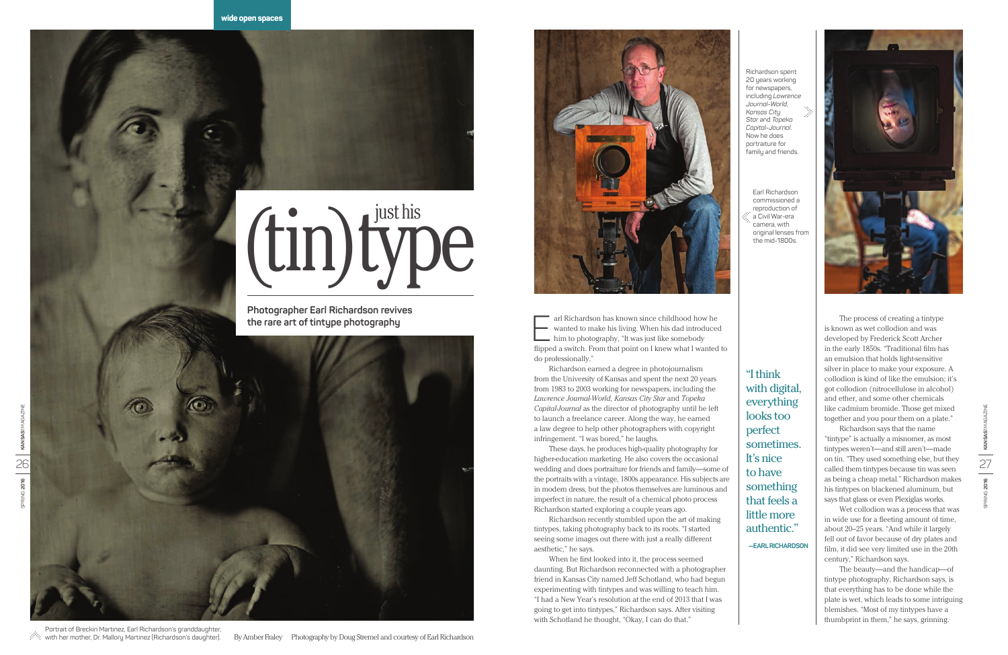Richardson spent 20 years working for newspapers, including *Lawrence Journal-World*, *Kansas City Star* and *Topeka Capital-Journal*. Now he does portraiture for family and friends.

Earl Richardson commissioned a reproduction of a Civil War-era camera, with original lenses from the mid-1800s.

> The process of creating a tintype is known as wet collodion and was developed by Frederick Scott Archer in the early 1850s. "Traditional film has an emulsion that holds light-sensitive silver in place to make your exposure. A collodion is kind of like the emulsion; it's got collodion (nitrocellulose in alcohol) and ether, and some other chemicals like cadmium bromide. Those get mixed together and you pour them on a plate."

arl Richardson has known since childhood how he<br>wanted to make his living. When his dad introduced<br>him to photography, "It was just like somebody<br>flinned a quitable Fram that point on Uncou what Lungted wanted to make his living. When his dad introduced him to photography, "It was just like somebody flipped a switch. From that point on I knew what I wanted to do professionally."

> Richardson says that the name "tintype" is actually a misnomer, as most tintypes weren't—and still aren't—made on tin. "They used something else, but they called them tintypes because tin was seen as being a cheap metal." Richardson makes his tintypes on blackened aluminum, but says that glass or even Plexiglas works.

> Wet collodion was a process that was in wide use for a fleeting amount of time, about 20–25 years. "And while it largely fell out of favor because of dry plates and film, it did see very limited use in the 20th century," Richardson says.

The beauty—and the handicap—of tintype photography, Richardson says, is that everything has to be done while the plate is wet, which leads to some intriguing blemishes. "Most of my tintypes have a thumbprint in them," he says, grinning.

Portrait of Breckin Martinez, Earl Richardson's granddaughter, with her mother, Dr. Mallory Martinez (Richardson's daughter).

Richardson earned a degree in photojournalism from the University of Kansas and spent the next 20 years from 1983 to 2003 working for newspapers, including the *Lawrence Journal-World, Kansas City Star* and *Topeka Capital-Journal* as the director of photography until he left to launch a freelance career. Along the way, he earned a law degree to help other photographers with copyright infringement. "I was bored," he laughs.

These days, he produces high-quality photography for higher-education marketing. He also covers the occasional wedding and does portraiture for friends and family—some of the portraits with a vintage, 1800s appearance. His subjects are in modern dress, but the photos themselves are luminous and imperfect in nature, the result of a chemical photo process Richardson started exploring a couple years ago.

Richardson recently stumbled upon the art of making tintypes, taking photography back to its roots. "I started seeing some images out there with just a really different aesthetic," he says.

When he first looked into it, the process seemed daunting. But Richardson reconnected with a photographer friend in Kansas City named Jeff Schotland, who had begun experimenting with tintypes and was willing to teach him. "I had a New Year's resolution at the end of 2013 that I was going to get into tintypes," Richardson says. After visiting with Schotland he thought, "Okay, I can do that."

"I think with digital, everything looks too perfect sometimes. It's nice to have something that feels a little more authentic."

**—EARL RICHARDSON**



## (tin)type

**Photographer Earl Richardson revives the rare art of tintype photography**